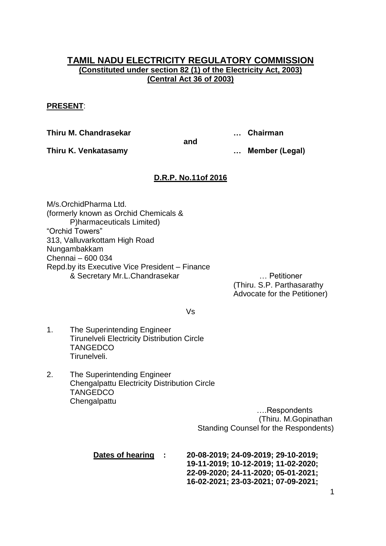# **TAMIL NADU ELECTRICITY REGULATORY COMMISSION (Constituted under section 82 (1) of the Electricity Act, 2003) (Central Act 36 of 2003)**

## **PRESENT**:

**Thiru M. Chandrasekar … Chairman**

**Thiru K. Venkatasamy … Member (Legal)**

# **D.R.P. No.11of 2016**

**and**

M/s.OrchidPharma Ltd. (formerly known as Orchid Chemicals & P)harmaceuticals Limited) "Orchid Towers" 313, Valluvarkottam High Road Nungambakkam Chennai – 600 034 Repd.by its Executive Vice President – Finance & Secretary Mr.L.Chandrasekar … Petitioner

(Thiru. S.P. Parthasarathy Advocate for the Petitioner)

Vs

- 1. The Superintending Engineer Tirunelveli Electricity Distribution Circle **TANGEDCO** Tirunelveli.
- 2. The Superintending Engineer Chengalpattu Electricity Distribution Circle **TANGEDCO Chengalpattu**

….Respondents (Thiru. M.Gopinathan Standing Counsel for the Respondents)

| Dates of hearing | ÷ | 20-08-2019; 24-09-2019; 29-10-2019; |
|------------------|---|-------------------------------------|
|                  |   | 19-11-2019; 10-12-2019; 11-02-2020; |
|                  |   | 22-09-2020; 24-11-2020; 05-01-2021; |
|                  |   | 16-02-2021; 23-03-2021; 07-09-2021; |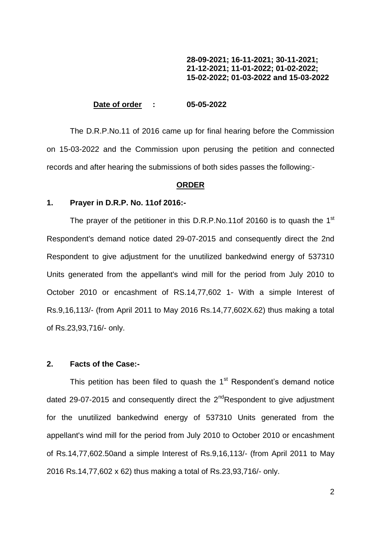### **28-09-2021; 16-11-2021; 30-11-2021; 21-12-2021; 11-01-2022; 01-02-2022; 15-02-2022; 01-03-2022 and 15-03-2022**

#### **Date of order : 05-05-2022**

The D.R.P.No.11 of 2016 came up for final hearing before the Commission on 15-03-2022 and the Commission upon perusing the petition and connected records and after hearing the submissions of both sides passes the following:-

#### **ORDER**

### **1. Prayer in D.R.P. No. 11of 2016:-**

The prayer of the petitioner in this D.R.P.No.11of 20160 is to quash the 1<sup>st</sup> Respondent's demand notice dated 29-07-2015 and consequently direct the 2nd Respondent to give adjustment for the unutilized bankedwind energy of 537310 Units generated from the appellant's wind mill for the period from July 2010 to October 2010 or encashment of RS.14,77,602 1- With a simple Interest of Rs.9,16,113/- (from April 2011 to May 2016 Rs.14,77,602X.62) thus making a total of Rs.23,93,716/- only.

## **2. Facts of the Case:-**

This petition has been filed to quash the  $1<sup>st</sup>$  Respondent's demand notice dated 29-07-2015 and consequently direct the  $2^{nd}$ Respondent to give adjustment for the unutilized bankedwind energy of 537310 Units generated from the appellant's wind mill for the period from July 2010 to October 2010 or encashment of Rs.14,77,602.50and a simple Interest of Rs.9,16,113/- (from April 2011 to May 2016 Rs.14,77,602 x 62) thus making a total of Rs.23,93,716/- only.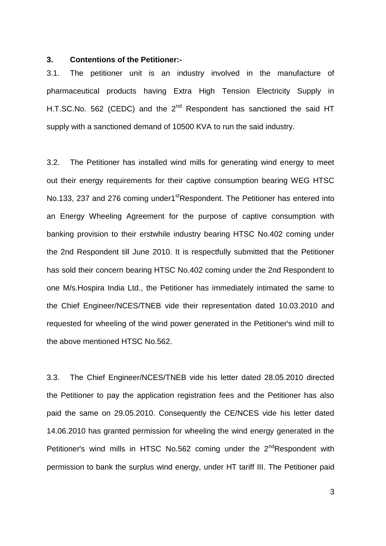#### **3. Contentions of the Petitioner:-**

3.1. The petitioner unit is an industry involved in the manufacture of pharmaceutical products having Extra High Tension Electricity Supply in H.T.SC.No. 562 (CEDC) and the  $2^{nd}$  Respondent has sanctioned the said HT supply with a sanctioned demand of 10500 KVA to run the said industry.

3.2. The Petitioner has installed wind mills for generating wind energy to meet out their energy requirements for their captive consumption bearing WEG HTSC No.133, 237 and 276 coming under1<sup>st</sup>Respondent. The Petitioner has entered into an Energy Wheeling Agreement for the purpose of captive consumption with banking provision to their erstwhile industry bearing HTSC No.402 coming under the 2nd Respondent till June 2010. It is respectfully submitted that the Petitioner has sold their concern bearing HTSC No.402 coming under the 2nd Respondent to one M/s.Hospira India Ltd., the Petitioner has immediately intimated the same to the Chief Engineer/NCES/TNEB vide their representation dated 10.03.2010 and requested for wheeling of the wind power generated in the Petitioner's wind mill to the above mentioned HTSC No.562.

3.3. The Chief Engineer/NCES/TNEB vide his letter dated 28.05.2010 directed the Petitioner to pay the application registration fees and the Petitioner has also paid the same on 29.05.2010. Consequently the CE/NCES vide his letter dated 14.06.2010 has granted permission for wheeling the wind energy generated in the Petitioner's wind mills in HTSC No.562 coming under the 2<sup>nd</sup>Respondent with permission to bank the surplus wind energy, under HT tariff III. The Petitioner paid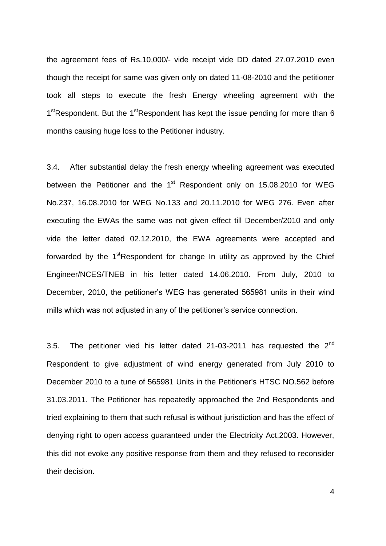the agreement fees of Rs.10,000/- vide receipt vide DD dated 27.07.2010 even though the receipt for same was given only on dated 11-08-2010 and the petitioner took all steps to execute the fresh Energy wheeling agreement with the 1<sup>st</sup>Respondent. But the 1<sup>st</sup>Respondent has kept the issue pending for more than 6 months causing huge loss to the Petitioner industry.

3.4. After substantial delay the fresh energy wheeling agreement was executed between the Petitioner and the  $1<sup>st</sup>$  Respondent only on 15.08.2010 for WEG No.237, 16.08.2010 for WEG No.133 and 20.11.2010 for WEG 276. Even after executing the EWAs the same was not given effect till December/2010 and only vide the letter dated 02.12.2010, the EWA agreements were accepted and forwarded by the 1<sup>st</sup>Respondent for change In utility as approved by the Chief Engineer/NCES/TNEB in his letter dated 14.06.2010. From July, 2010 to December, 2010, the petitioner's WEG has generated 565981 units in their wind mills which was not adjusted in any of the petitioner"s service connection.

3.5. The petitioner vied his letter dated 21-03-2011 has requested the  $2^{nd}$ Respondent to give adjustment of wind energy generated from July 2010 to December 2010 to a tune of 565981 Units in the Petitioner's HTSC NO.562 before 31.03.2011. The Petitioner has repeatedly approached the 2nd Respondents and tried explaining to them that such refusal is without jurisdiction and has the effect of denying right to open access guaranteed under the Electricity Act,2003. However, this did not evoke any positive response from them and they refused to reconsider their decision.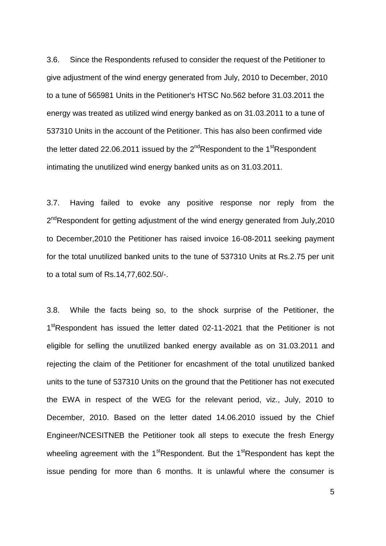3.6. Since the Respondents refused to consider the request of the Petitioner to give adjustment of the wind energy generated from July, 2010 to December, 2010 to a tune of 565981 Units in the Petitioner's HTSC No.562 before 31.03.2011 the energy was treated as utilized wind energy banked as on 31.03.2011 to a tune of 537310 Units in the account of the Petitioner. This has also been confirmed vide the letter dated 22.06.2011 issued by the  $2^{nd}$ Respondent to the 1<sup>st</sup>Respondent intimating the unutilized wind energy banked units as on 31.03.2011.

3.7. Having failed to evoke any positive response nor reply from the 2<sup>nd</sup>Respondent for getting adjustment of the wind energy generated from July,2010 to December,2010 the Petitioner has raised invoice 16-08-2011 seeking payment for the total unutilized banked units to the tune of 537310 Units at Rs.2.75 per unit to a total sum of Rs.14,77,602.50/-.

3.8. While the facts being so, to the shock surprise of the Petitioner, the 1<sup>st</sup>Respondent has issued the letter dated 02-11-2021 that the Petitioner is not eligible for selling the unutilized banked energy available as on 31.03.2011 and rejecting the claim of the Petitioner for encashment of the total unutilized banked units to the tune of 537310 Units on the ground that the Petitioner has not executed the EWA in respect of the WEG for the relevant period, viz., July, 2010 to December, 2010. Based on the letter dated 14.06.2010 issued by the Chief Engineer/NCESITNEB the Petitioner took all steps to execute the fresh Energy wheeling agreement with the  $1<sup>st</sup>$ Respondent. But the  $1<sup>st</sup>$ Respondent has kept the issue pending for more than 6 months. It is unlawful where the consumer is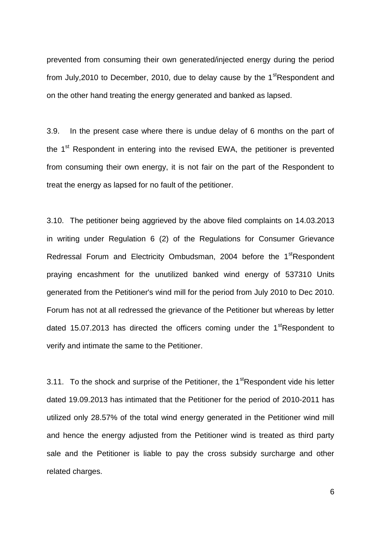prevented from consuming their own generated/injected energy during the period from July, 2010 to December, 2010, due to delay cause by the  $1<sup>st</sup>$ Respondent and on the other hand treating the energy generated and banked as lapsed.

3.9. In the present case where there is undue delay of 6 months on the part of the  $1<sup>st</sup>$  Respondent in entering into the revised EWA, the petitioner is prevented from consuming their own energy, it is not fair on the part of the Respondent to treat the energy as lapsed for no fault of the petitioner.

3.10. The petitioner being aggrieved by the above filed complaints on 14.03.2013 in writing under Regulation 6 (2) of the Regulations for Consumer Grievance Redressal Forum and Electricity Ombudsman, 2004 before the 1<sup>st</sup>Respondent praying encashment for the unutilized banked wind energy of 537310 Units generated from the Petitioner's wind mill for the period from July 2010 to Dec 2010. Forum has not at all redressed the grievance of the Petitioner but whereas by letter dated 15.07.2013 has directed the officers coming under the  $1<sup>st</sup>$ Respondent to verify and intimate the same to the Petitioner.

3.11. To the shock and surprise of the Petitioner, the  $1<sup>st</sup>$ Respondent vide his letter dated 19.09.2013 has intimated that the Petitioner for the period of 2010-2011 has utilized only 28.57% of the total wind energy generated in the Petitioner wind mill and hence the energy adjusted from the Petitioner wind is treated as third party sale and the Petitioner is liable to pay the cross subsidy surcharge and other related charges.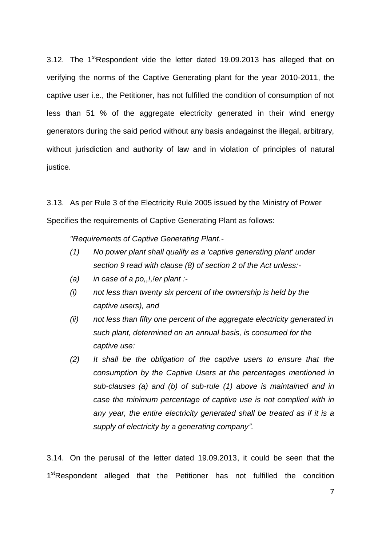3.12. The  $1<sup>st</sup>$ Respondent vide the letter dated 19.09.2013 has alleged that on verifying the norms of the Captive Generating plant for the year 2010-2011, the captive user i.e., the Petitioner, has not fulfilled the condition of consumption of not less than 51 % of the aggregate electricity generated in their wind energy generators during the said period without any basis andagainst the illegal, arbitrary, without jurisdiction and authority of law and in violation of principles of natural justice.

3.13. As per Rule 3 of the Electricity Rule 2005 issued by the Ministry of Power Specifies the requirements of Captive Generating Plant as follows:

*"Requirements of Captive Generating Plant.-*

- *(1) No power plant shall qualify as a 'captive generating plant' under section 9 read with clause (8) of section 2 of the Act unless:-*
- *(a) in case of a po,,!,!er plant :-*
- *(i) not less than twenty six percent of the ownership is held by the captive users), and*
- *(ii) not less than fifty one percent of the aggregate electricity generated in such plant, determined on an annual basis, is consumed for the captive use:*
- *(2) It shall be the obligation of the captive users to ensure that the consumption by the Captive Users at the percentages mentioned in sub-clauses (a) and (b) of sub-rule (1) above is maintained and in case the minimum percentage of captive use is not complied with in any year, the entire electricity generated shall be treated as if it is a supply of electricity by a generating company".*

3.14. On the perusal of the letter dated 19.09.2013, it could be seen that the 1<sup>st</sup>Respondent alleged that the Petitioner has not fulfilled the condition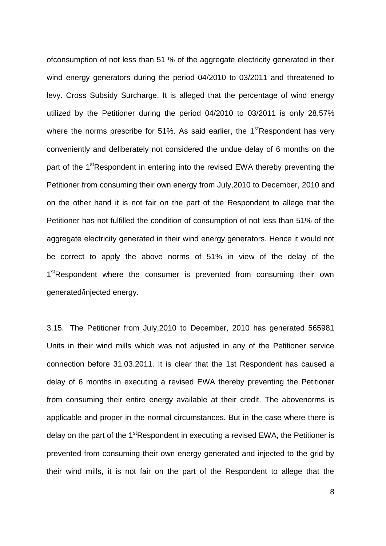ofconsumption of not less than 51 % of the aggregate electricity generated in their wind energy generators during the period 04/2010 to 03/2011 and threatened to levy. Cross Subsidy Surcharge. It is alleged that the percentage of wind energy utilized by the Petitioner during the period 04/2010 to 03/2011 is only 28.57% where the norms prescribe for 51%. As said earlier, the  $1<sup>st</sup>$ Respondent has very conveniently and deliberately not considered the undue delay of 6 months on the part of the 1<sup>st</sup>Respondent in entering into the revised EWA thereby preventing the Petitioner from consuming their own energy from July,2010 to December, 2010 and on the other hand it is not fair on the part of the Respondent to allege that the Petitioner has not fulfilled the condition of consumption of not less than 51% of the aggregate electricity generated in their wind energy generators. Hence it would not be correct to apply the above norms of 51% in view of the delay of the 1<sup>st</sup>Respondent where the consumer is prevented from consuming their own generated/injected energy.

3.15. The Petitioner from July,2010 to December, 2010 has generated 565981 Units in their wind mills which was not adjusted in any of the Petitioner service connection before 31.03.2011. It is clear that the 1st Respondent has caused a delay of 6 months in executing a revised EWA thereby preventing the Petitioner from consuming their entire energy available at their credit. The abovenorms is applicable and proper in the normal circumstances. But in the case where there is delay on the part of the  $1<sup>st</sup>$ Respondent in executing a revised EWA, the Petitioner is prevented from consuming their own energy generated and injected to the grid by their wind mills, it is not fair on the part of the Respondent to allege that the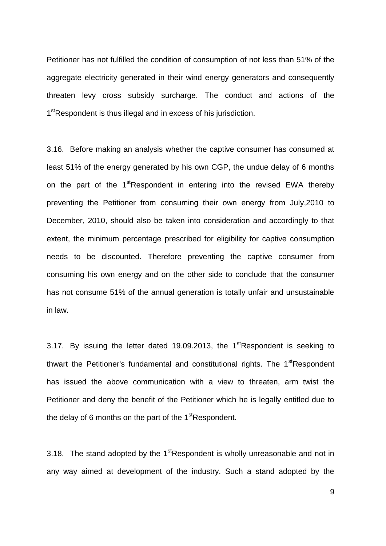Petitioner has not fulfilled the condition of consumption of not less than 51% of the aggregate electricity generated in their wind energy generators and consequently threaten levy cross subsidy surcharge. The conduct and actions of the 1<sup>st</sup>Respondent is thus illegal and in excess of his jurisdiction.

3.16. Before making an analysis whether the captive consumer has consumed at least 51% of the energy generated by his own CGP, the undue delay of 6 months on the part of the 1<sup>st</sup>Respondent in entering into the revised EWA thereby preventing the Petitioner from consuming their own energy from July,2010 to December, 2010, should also be taken into consideration and accordingly to that extent, the minimum percentage prescribed for eligibility for captive consumption needs to be discounted. Therefore preventing the captive consumer from consuming his own energy and on the other side to conclude that the consumer has not consume 51% of the annual generation is totally unfair and unsustainable in law.

3.17. By issuing the letter dated 19.09.2013, the  $1<sup>st</sup>$ Respondent is seeking to thwart the Petitioner's fundamental and constitutional rights. The  $1<sup>st</sup>$ Respondent has issued the above communication with a view to threaten, arm twist the Petitioner and deny the benefit of the Petitioner which he is legally entitled due to the delay of 6 months on the part of the  $1<sup>st</sup>$ Respondent.

3.18. The stand adopted by the  $1<sup>st</sup>$ Respondent is wholly unreasonable and not in any way aimed at development of the industry. Such a stand adopted by the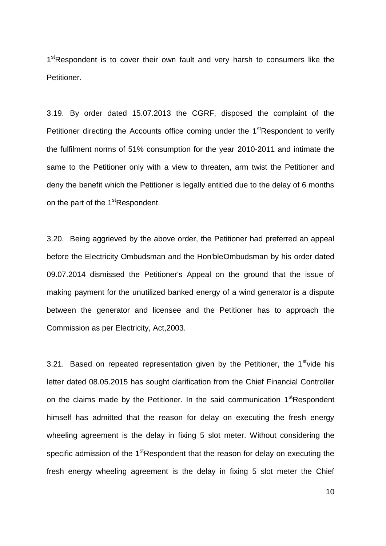1<sup>st</sup>Respondent is to cover their own fault and very harsh to consumers like the Petitioner.

3.19. By order dated 15.07.2013 the CGRF, disposed the complaint of the Petitioner directing the Accounts office coming under the 1<sup>st</sup>Respondent to verify the fulfilment norms of 51% consumption for the year 2010-2011 and intimate the same to the Petitioner only with a view to threaten, arm twist the Petitioner and deny the benefit which the Petitioner is legally entitled due to the delay of 6 months on the part of the 1<sup>st</sup>Respondent.

3.20. Being aggrieved by the above order, the Petitioner had preferred an appeal before the Electricity Ombudsman and the Hon'bleOmbudsman by his order dated 09.07.2014 dismissed the Petitioner's Appeal on the ground that the issue of making payment for the unutilized banked energy of a wind generator is a dispute between the generator and licensee and the Petitioner has to approach the Commission as per Electricity, Act,2003.

3.21. Based on repeated representation given by the Petitioner, the  $1<sup>st</sup>$  vide his letter dated 08.05.2015 has sought clarification from the Chief Financial Controller on the claims made by the Petitioner. In the said communication 1<sup>st</sup>Respondent himself has admitted that the reason for delay on executing the fresh energy wheeling agreement is the delay in fixing 5 slot meter. Without considering the specific admission of the 1<sup>st</sup>Respondent that the reason for delay on executing the fresh energy wheeling agreement is the delay in fixing 5 slot meter the Chief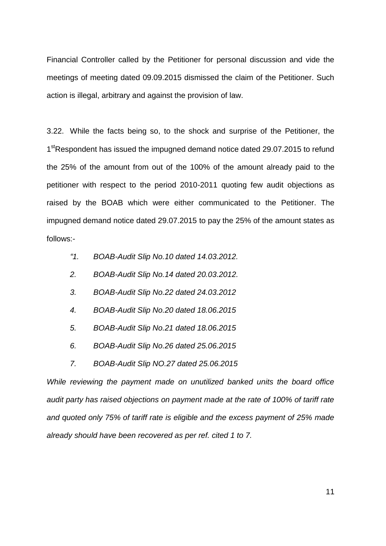Financial Controller called by the Petitioner for personal discussion and vide the meetings of meeting dated 09.09.2015 dismissed the claim of the Petitioner. Such action is illegal, arbitrary and against the provision of law.

3.22. While the facts being so, to the shock and surprise of the Petitioner, the 1<sup>st</sup>Respondent has issued the impugned demand notice dated 29.07.2015 to refund the 25% of the amount from out of the 100% of the amount already paid to the petitioner with respect to the period 2010-2011 quoting few audit objections as raised by the BOAB which were either communicated to the Petitioner. The impugned demand notice dated 29.07.2015 to pay the 25% of the amount states as follows:-

- *"1. BOAB-Audit Slip No.10 dated 14.03.2012.*
- *2. BOAB-Audit Slip No.14 dated 20.03.2012.*
- *3. BOAB-Audit Slip No.22 dated 24.03.2012*
- *4. BOAB-Audit Slip No.20 dated 18.06.2015*
- *5. BOAB-Audit Slip No.21 dated 18.06.2015*
- *6. BOAB-Audit Slip No.26 dated 25.06.2015*
- *7. BOAB-Audit Slip NO.27 dated 25.06.2015*

*While reviewing the payment made on unutilized banked units the board office audit party has raised objections on payment made at the rate of 100% of tariff rate and quoted only 75% of tariff rate is eligible and the excess payment of 25% made already should have been recovered as per ref. cited 1 to 7.*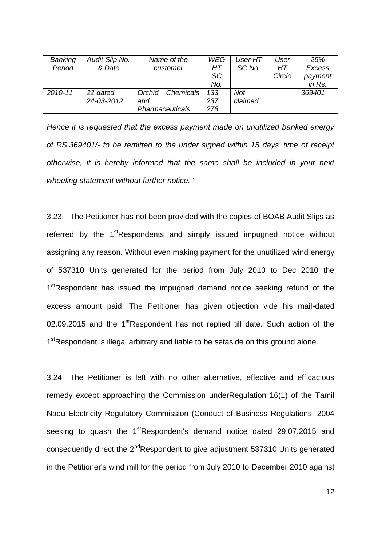| Banking | Audit Slip No. | Name of the            | <b>WEG</b> | User HT | User   | 25%           |
|---------|----------------|------------------------|------------|---------|--------|---------------|
| Period  | & Date         | customer               | HT         | SC No.  | HТ     | <b>Excess</b> |
|         |                |                        | SC         |         | Circle | payment       |
|         |                |                        | No.        |         |        | in Rs.        |
| 2010-11 | 22 dated       | Chemicals<br>Orchid    | 133.       | Not     |        | 369401        |
|         | 24-03-2012     | and                    | 237,       | claimed |        |               |
|         |                | <b>Pharmaceuticals</b> | 276        |         |        |               |

*Hence it is requested that the excess payment made on unutilized banked energy of RS.369401/- to be remitted to the under signed within 15 days' time of receipt otherwise, it is hereby informed that the same shall be included in your next wheeling statement without further notice. "* 

3.23. The Petitioner has not been provided with the copies of BOAB Audit Slips as referred by the 1<sup>st</sup>Respondents and simply issued impugned notice without assigning any reason. Without even making payment for the unutilized wind energy of 537310 Units generated for the period from July 2010 to Dec 2010 the 1<sup>st</sup>Respondent has issued the impugned demand notice seeking refund of the excess amount paid. The Petitioner has given objection vide his mail-dated 02.09.2015 and the 1<sup>st</sup>Respondent has not replied till date. Such action of the 1<sup>st</sup>Respondent is illegal arbitrary and liable to be setaside on this ground alone.

3.24 The Petitioner is left with no other alternative, effective and efficacious remedy except approaching the Commission underRegulation 16(1) of the Tamil Nadu Electricity Regulatory Commission (Conduct of Business Regulations, 2004 seeking to quash the 1<sup>st</sup>Respondent's demand notice dated 29.07.2015 and consequently direct the 2<sup>nd</sup>Respondent to give adjustment 537310 Units generated in the Petitioner's wind mill for the period from July 2010 to December 2010 against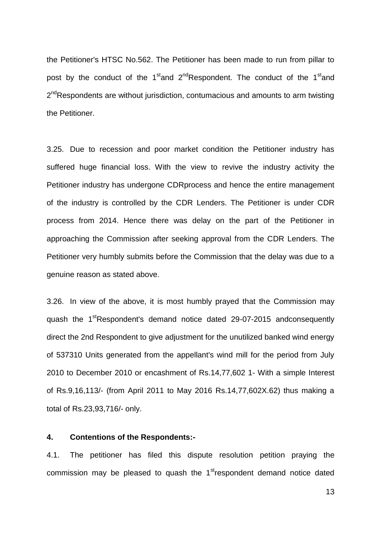the Petitioner's HTSC No.562. The Petitioner has been made to run from pillar to post by the conduct of the 1<sup>st</sup>and 2<sup>nd</sup>Respondent. The conduct of the 1<sup>st</sup>and 2<sup>nd</sup>Respondents are without jurisdiction, contumacious and amounts to arm twisting the Petitioner.

3.25. Due to recession and poor market condition the Petitioner industry has suffered huge financial loss. With the view to revive the industry activity the Petitioner industry has undergone CDRprocess and hence the entire management of the industry is controlled by the CDR Lenders. The Petitioner is under CDR process from 2014. Hence there was delay on the part of the Petitioner in approaching the Commission after seeking approval from the CDR Lenders. The Petitioner very humbly submits before the Commission that the delay was due to a genuine reason as stated above.

3.26. In view of the above, it is most humbly prayed that the Commission may quash the 1<sup>st</sup>Respondent's demand notice dated 29-07-2015 andconsequently direct the 2nd Respondent to give adjustment for the unutilized banked wind energy of 537310 Units generated from the appellant's wind mill for the period from July 2010 to December 2010 or encashment of Rs.14,77,602 1- With a simple Interest of Rs.9,16,113/- (from April 2011 to May 2016 Rs.14,77,602X.62) thus making a total of Rs.23,93,716/- only.

### **4. Contentions of the Respondents:-**

4.1. The petitioner has filed this dispute resolution petition praying the commission may be pleased to quash the  $1<sup>st</sup>$  respondent demand notice dated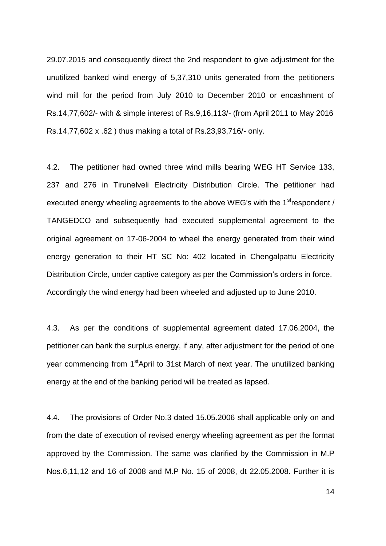29.07.2015 and consequently direct the 2nd respondent to give adjustment for the unutilized banked wind energy of 5,37,310 units generated from the petitioners wind mill for the period from July 2010 to December 2010 or encashment of Rs.14,77,602/- with & simple interest of Rs.9,16,113/- (from April 2011 to May 2016 Rs.14,77,602 x .62 ) thus making a total of Rs.23,93,716/- only.

4.2. The petitioner had owned three wind mills bearing WEG HT Service 133, 237 and 276 in Tirunelveli Electricity Distribution Circle. The petitioner had executed energy wheeling agreements to the above WEG's with the 1<sup>st</sup>respondent / TANGEDCO and subsequently had executed supplemental agreement to the original agreement on 17-06-2004 to wheel the energy generated from their wind energy generation to their HT SC No: 402 located in Chengalpattu Electricity Distribution Circle, under captive category as per the Commission"s orders in force. Accordingly the wind energy had been wheeled and adjusted up to June 2010.

4.3. As per the conditions of supplemental agreement dated 17.06.2004, the petitioner can bank the surplus energy, if any, after adjustment for the period of one year commencing from 1<sup>st</sup>April to 31st March of next year. The unutilized banking energy at the end of the banking period will be treated as lapsed.

4.4. The provisions of Order No.3 dated 15.05.2006 shall applicable only on and from the date of execution of revised energy wheeling agreement as per the format approved by the Commission. The same was clarified by the Commission in M.P Nos.6,11,12 and 16 of 2008 and M.P No. 15 of 2008, dt 22.05.2008. Further it is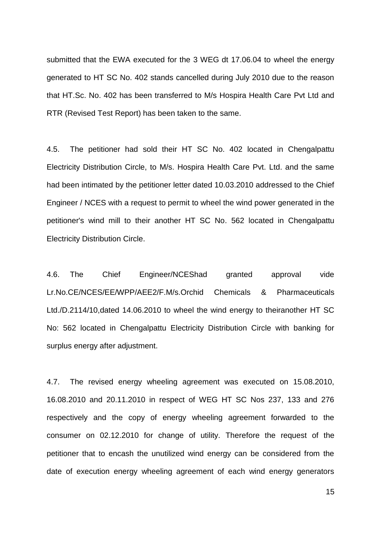submitted that the EWA executed for the 3 WEG dt 17.06.04 to wheel the energy generated to HT SC No. 402 stands cancelled during July 2010 due to the reason that HT.Sc. No. 402 has been transferred to M/s Hospira Health Care Pvt Ltd and RTR (Revised Test Report) has been taken to the same.

4.5. The petitioner had sold their HT SC No. 402 located in Chengalpattu Electricity Distribution Circle, to M/s. Hospira Health Care Pvt. Ltd. and the same had been intimated by the petitioner letter dated 10.03.2010 addressed to the Chief Engineer / NCES with a request to permit to wheel the wind power generated in the petitioner's wind mill to their another HT SC No. 562 located in Chengalpattu Electricity Distribution Circle.

4.6. The Chief Engineer/NCEShad granted approval vide Lr.No.CE/NCES/EE/WPP/AEE2/F.M/s.Orchid Chemicals & Pharmaceuticals Ltd./D.2114/10,dated 14.06.2010 to wheel the wind energy to theiranother HT SC No: 562 located in Chengalpattu Electricity Distribution Circle with banking for surplus energy after adjustment.

4.7. The revised energy wheeling agreement was executed on 15.08.2010, 16.08.2010 and 20.11.2010 in respect of WEG HT SC Nos 237, 133 and 276 respectively and the copy of energy wheeling agreement forwarded to the consumer on 02.12.2010 for change of utility. Therefore the request of the petitioner that to encash the unutilized wind energy can be considered from the date of execution energy wheeling agreement of each wind energy generators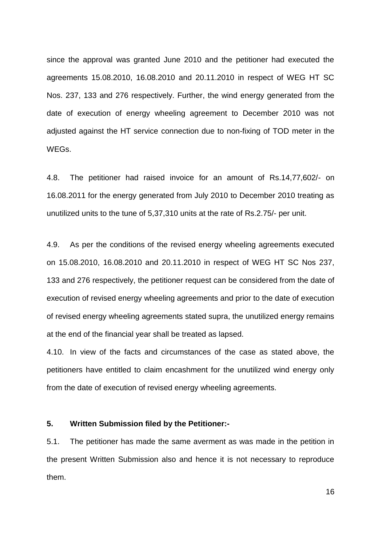since the approval was granted June 2010 and the petitioner had executed the agreements 15.08.2010, 16.08.2010 and 20.11.2010 in respect of WEG HT SC Nos. 237, 133 and 276 respectively. Further, the wind energy generated from the date of execution of energy wheeling agreement to December 2010 was not adjusted against the HT service connection due to non-fixing of TOD meter in the WEGs.

4.8. The petitioner had raised invoice for an amount of Rs.14,77,602/- on 16.08.2011 for the energy generated from July 2010 to December 2010 treating as unutilized units to the tune of 5,37,310 units at the rate of Rs.2.75/- per unit.

4.9. As per the conditions of the revised energy wheeling agreements executed on 15.08.2010, 16.08.2010 and 20.11.2010 in respect of WEG HT SC Nos 237, 133 and 276 respectively, the petitioner request can be considered from the date of execution of revised energy wheeling agreements and prior to the date of execution of revised energy wheeling agreements stated supra, the unutilized energy remains at the end of the financial year shall be treated as lapsed.

4.10. In view of the facts and circumstances of the case as stated above, the petitioners have entitled to claim encashment for the unutilized wind energy only from the date of execution of revised energy wheeling agreements.

## **5. Written Submission filed by the Petitioner:-**

5.1. The petitioner has made the same averment as was made in the petition in the present Written Submission also and hence it is not necessary to reproduce them.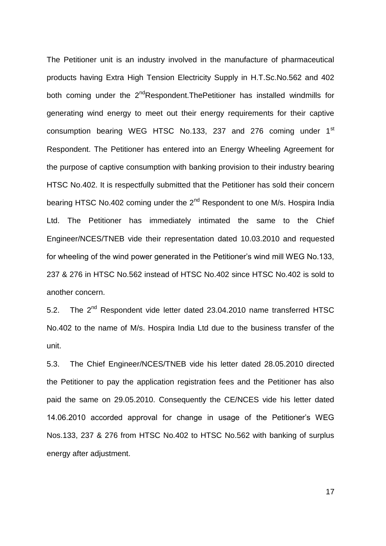The Petitioner unit is an industry involved in the manufacture of pharmaceutical products having Extra High Tension Electricity Supply in H.T.Sc.No.562 and 402 both coming under the  $2^{nd}$ Respondent. The Petitioner has installed windmills for generating wind energy to meet out their energy requirements for their captive consumption bearing WEG HTSC No.133, 237 and 276 coming under 1<sup>st</sup> Respondent. The Petitioner has entered into an Energy Wheeling Agreement for the purpose of captive consumption with banking provision to their industry bearing HTSC No.402. It is respectfully submitted that the Petitioner has sold their concern bearing HTSC No.402 coming under the 2<sup>nd</sup> Respondent to one M/s. Hospira India Ltd. The Petitioner has immediately intimated the same to the Chief Engineer/NCES/TNEB vide their representation dated 10.03.2010 and requested for wheeling of the wind power generated in the Petitioner's wind mill WEG No.133, 237 & 276 in HTSC No.562 instead of HTSC No.402 since HTSC No.402 is sold to another concern.

5.2. The 2<sup>nd</sup> Respondent vide letter dated 23.04.2010 name transferred HTSC No.402 to the name of M/s. Hospira India Ltd due to the business transfer of the unit.

5.3. The Chief Engineer/NCES/TNEB vide his letter dated 28.05.2010 directed the Petitioner to pay the application registration fees and the Petitioner has also paid the same on 29.05.2010. Consequently the CE/NCES vide his letter dated 14.06.2010 accorded approval for change in usage of the Petitioner"s WEG Nos.133, 237 & 276 from HTSC No.402 to HTSC No.562 with banking of surplus energy after adjustment.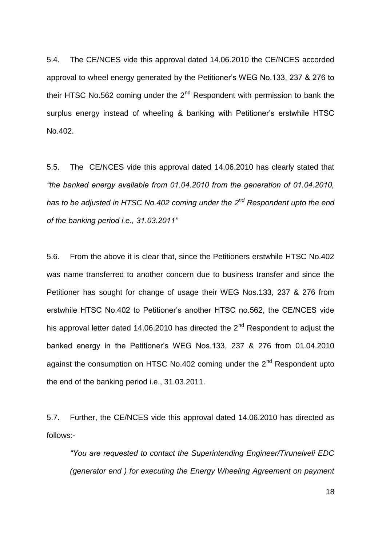5.4. The CE/NCES vide this approval dated 14.06.2010 the CE/NCES accorded approval to wheel energy generated by the Petitioner"s WEG No.133, 237 & 276 to their HTSC No.562 coming under the  $2<sup>nd</sup>$  Respondent with permission to bank the surplus energy instead of wheeling & banking with Petitioner's erstwhile HTSC No.402.

5.5. The CE/NCES vide this approval dated 14.06.2010 has clearly stated that *"the banked energy available from 01.04.2010 from the generation of 01.04.2010,*  has to be adjusted in HTSC No.402 coming under the 2<sup>nd</sup> Respondent upto the end *of the banking period i.e., 31.03.2011"*

5.6. From the above it is clear that, since the Petitioners erstwhile HTSC No.402 was name transferred to another concern due to business transfer and since the Petitioner has sought for change of usage their WEG Nos.133, 237 & 276 from erstwhile HTSC No.402 to Petitioner's another HTSC no.562, the CE/NCES vide his approval letter dated 14.06.2010 has directed the  $2<sup>nd</sup>$  Respondent to adjust the banked energy in the Petitioner"s WEG Nos.133, 237 & 276 from 01.04.2010 against the consumption on HTSC No.402 coming under the  $2<sup>nd</sup>$  Respondent upto the end of the banking period i.e., 31.03.2011.

5.7. Further, the CE/NCES vide this approval dated 14.06.2010 has directed as follows:-

*"You are requested to contact the Superintending Engineer/Tirunelveli EDC (generator end ) for executing the Energy Wheeling Agreement on payment*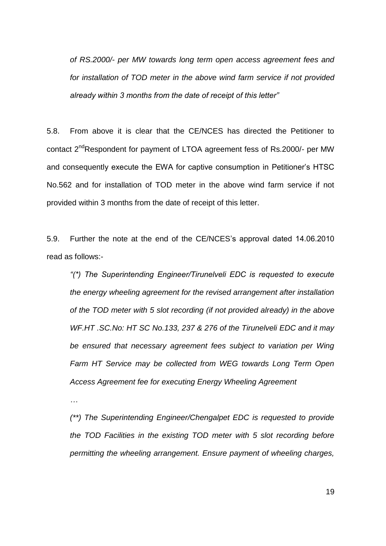*of RS.2000/- per MW towards long term open access agreement fees and for installation of TOD meter in the above wind farm service if not provided already within 3 months from the date of receipt of this letter"* 

5.8. From above it is clear that the CE/NCES has directed the Petitioner to contact 2<sup>nd</sup>Respondent for payment of LTOA agreement fess of Rs.2000/- per MW and consequently execute the EWA for captive consumption in Petitioner"s HTSC No.562 and for installation of TOD meter in the above wind farm service if not provided within 3 months from the date of receipt of this letter.

5.9. Further the note at the end of the CE/NCES"s approval dated 14.06.2010 read as follows:-

*"(\*) The Superintending Engineer/Tirunelveli EDC is requested to execute the energy wheeling agreement for the revised arrangement after installation of the TOD meter with 5 slot recording (if not provided already) in the above WF.HT .SC.No: HT SC No.133, 237 & 276 of the Tirunelveli EDC and it may be ensured that necessary agreement fees subject to variation per Wing Farm HT Service may be collected from WEG towards Long Term Open Access Agreement fee for executing Energy Wheeling Agreement*

*…*

*(\*\*) The Superintending Engineer/Chengalpet EDC is requested to provide the TOD Facilities in the existing TOD meter with 5 slot recording before permitting the wheeling arrangement. Ensure payment of wheeling charges,*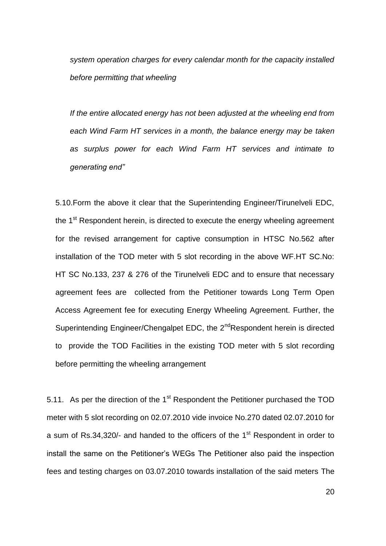*system operation charges for every calendar month for the capacity installed before permitting that wheeling*

*If the entire allocated energy has not been adjusted at the wheeling end from each Wind Farm HT services in a month, the balance energy may be taken as surplus power for each Wind Farm HT services and intimate to generating end"*

5.10.Form the above it clear that the Superintending Engineer/Tirunelveli EDC, the  $1<sup>st</sup>$  Respondent herein, is directed to execute the energy wheeling agreement for the revised arrangement for captive consumption in HTSC No.562 after installation of the TOD meter with 5 slot recording in the above WF.HT SC.No: HT SC No.133, 237 & 276 of the Tirunelveli EDC and to ensure that necessary agreement fees are collected from the Petitioner towards Long Term Open Access Agreement fee for executing Energy Wheeling Agreement. Further, the Superintending Engineer/Chengalpet EDC, the 2<sup>nd</sup>Respondent herein is directed to provide the TOD Facilities in the existing TOD meter with 5 slot recording before permitting the wheeling arrangement

5.11. As per the direction of the 1<sup>st</sup> Respondent the Petitioner purchased the TOD meter with 5 slot recording on 02.07.2010 vide invoice No.270 dated 02.07.2010 for a sum of Rs.34,320/- and handed to the officers of the  $1<sup>st</sup>$  Respondent in order to install the same on the Petitioner"s WEGs The Petitioner also paid the inspection fees and testing charges on 03.07.2010 towards installation of the said meters The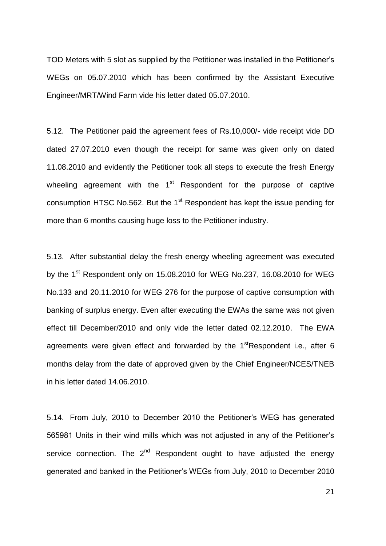TOD Meters with 5 slot as supplied by the Petitioner was installed in the Petitioner"s WEGs on 05.07.2010 which has been confirmed by the Assistant Executive Engineer/MRT/Wind Farm vide his letter dated 05.07.2010.

5.12. The Petitioner paid the agreement fees of Rs.10,000/- vide receipt vide DD dated 27.07.2010 even though the receipt for same was given only on dated 11.08.2010 and evidently the Petitioner took all steps to execute the fresh Energy wheeling agreement with the  $1<sup>st</sup>$  Respondent for the purpose of captive consumption HTSC No.562. But the  $1<sup>st</sup>$  Respondent has kept the issue pending for more than 6 months causing huge loss to the Petitioner industry.

5.13. After substantial delay the fresh energy wheeling agreement was executed by the 1<sup>st</sup> Respondent only on 15.08.2010 for WEG No.237, 16.08.2010 for WEG No.133 and 20.11.2010 for WEG 276 for the purpose of captive consumption with banking of surplus energy. Even after executing the EWAs the same was not given effect till December/2010 and only vide the letter dated 02.12.2010. The EWA agreements were given effect and forwarded by the  $1<sup>st</sup>$ Respondent i.e., after 6 months delay from the date of approved given by the Chief Engineer/NCES/TNEB in his letter dated 14.06.2010.

5.14. From July, 2010 to December 2010 the Petitioner"s WEG has generated 565981 Units in their wind mills which was not adjusted in any of the Petitioner"s service connection. The  $2^{nd}$  Respondent ought to have adjusted the energy generated and banked in the Petitioner"s WEGs from July, 2010 to December 2010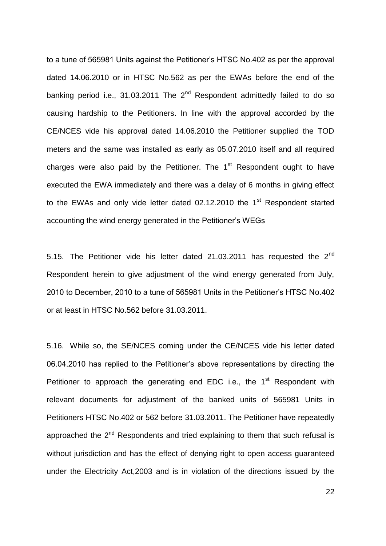to a tune of 565981 Units against the Petitioner"s HTSC No.402 as per the approval dated 14.06.2010 or in HTSC No.562 as per the EWAs before the end of the banking period i.e., 31.03.2011 The  $2^{nd}$  Respondent admittedly failed to do so causing hardship to the Petitioners. In line with the approval accorded by the CE/NCES vide his approval dated 14.06.2010 the Petitioner supplied the TOD meters and the same was installed as early as 05.07.2010 itself and all required charges were also paid by the Petitioner. The  $1<sup>st</sup>$  Respondent ought to have executed the EWA immediately and there was a delay of 6 months in giving effect to the EWAs and only vide letter dated  $02.12.2010$  the 1<sup>st</sup> Respondent started accounting the wind energy generated in the Petitioner"s WEGs

5.15. The Petitioner vide his letter dated 21.03.2011 has requested the  $2<sup>nd</sup>$ Respondent herein to give adjustment of the wind energy generated from July, 2010 to December, 2010 to a tune of 565981 Units in the Petitioner"s HTSC No.402 or at least in HTSC No.562 before 31.03.2011.

5.16. While so, the SE/NCES coming under the CE/NCES vide his letter dated 06.04.2010 has replied to the Petitioner"s above representations by directing the Petitioner to approach the generating end EDC i.e., the 1<sup>st</sup> Respondent with relevant documents for adjustment of the banked units of 565981 Units in Petitioners HTSC No.402 or 562 before 31.03.2011. The Petitioner have repeatedly approached the  $2^{nd}$  Respondents and tried explaining to them that such refusal is without jurisdiction and has the effect of denying right to open access guaranteed under the Electricity Act,2003 and is in violation of the directions issued by the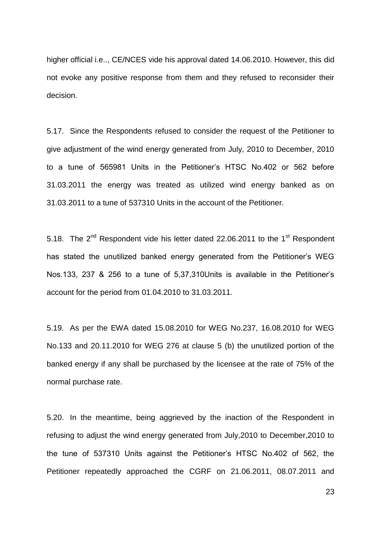higher official i.e.., CE/NCES vide his approval dated 14.06.2010. However, this did not evoke any positive response from them and they refused to reconsider their decision.

5.17. Since the Respondents refused to consider the request of the Petitioner to give adjustment of the wind energy generated from July, 2010 to December, 2010 to a tune of 565981 Units in the Petitioner"s HTSC No.402 or 562 before 31.03.2011 the energy was treated as utilized wind energy banked as on 31.03.2011 to a tune of 537310 Units in the account of the Petitioner.

5.18. The  $2^{nd}$  Respondent vide his letter dated 22.06.2011 to the 1<sup>st</sup> Respondent has stated the unutilized banked energy generated from the Petitioner's WEG Nos.133, 237 & 256 to a tune of 5,37,310Units is available in the Petitioner"s account for the period from 01.04.2010 to 31.03.2011.

5.19. As per the EWA dated 15.08.2010 for WEG No.237, 16.08.2010 for WEG No.133 and 20.11.2010 for WEG 276 at clause 5 (b) the unutilized portion of the banked energy if any shall be purchased by the licensee at the rate of 75% of the normal purchase rate.

5.20. In the meantime, being aggrieved by the inaction of the Respondent in refusing to adjust the wind energy generated from July,2010 to December,2010 to the tune of 537310 Units against the Petitioner"s HTSC No.402 of 562, the Petitioner repeatedly approached the CGRF on 21.06.2011, 08.07.2011 and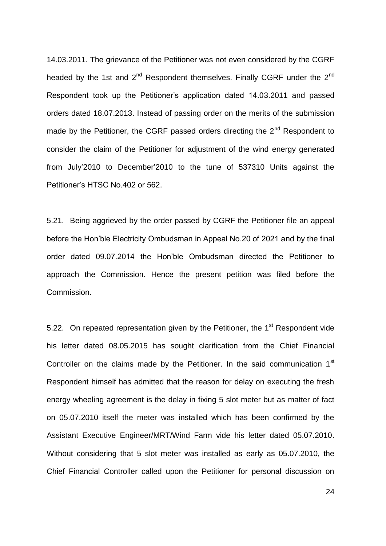14.03.2011. The grievance of the Petitioner was not even considered by the CGRF headed by the 1st and  $2^{nd}$  Respondent themselves. Finally CGRF under the  $2^{nd}$ Respondent took up the Petitioner"s application dated 14.03.2011 and passed orders dated 18.07.2013. Instead of passing order on the merits of the submission made by the Petitioner, the CGRF passed orders directing the  $2<sup>nd</sup>$  Respondent to consider the claim of the Petitioner for adjustment of the wind energy generated from July"2010 to December"2010 to the tune of 537310 Units against the Petitioner"s HTSC No.402 or 562.

5.21. Being aggrieved by the order passed by CGRF the Petitioner file an appeal before the Hon"ble Electricity Ombudsman in Appeal No.20 of 2021 and by the final order dated 09.07.2014 the Hon"ble Ombudsman directed the Petitioner to approach the Commission. Hence the present petition was filed before the Commission.

5.22. On repeated representation given by the Petitioner, the 1<sup>st</sup> Respondent vide his letter dated 08.05.2015 has sought clarification from the Chief Financial Controller on the claims made by the Petitioner. In the said communication 1<sup>st</sup> Respondent himself has admitted that the reason for delay on executing the fresh energy wheeling agreement is the delay in fixing 5 slot meter but as matter of fact on 05.07.2010 itself the meter was installed which has been confirmed by the Assistant Executive Engineer/MRT/Wind Farm vide his letter dated 05.07.2010. Without considering that 5 slot meter was installed as early as 05.07.2010, the Chief Financial Controller called upon the Petitioner for personal discussion on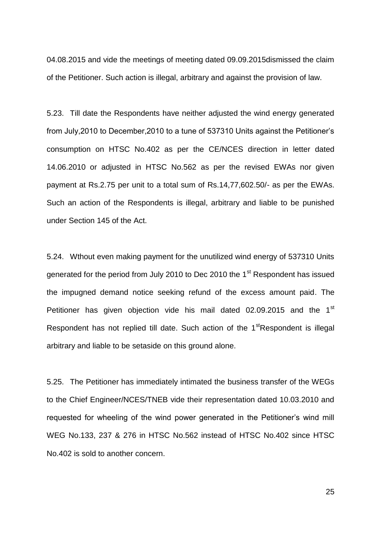04.08.2015 and vide the meetings of meeting dated 09.09.2015dismissed the claim of the Petitioner. Such action is illegal, arbitrary and against the provision of law.

5.23. Till date the Respondents have neither adjusted the wind energy generated from July,2010 to December,2010 to a tune of 537310 Units against the Petitioner"s consumption on HTSC No.402 as per the CE/NCES direction in letter dated 14.06.2010 or adjusted in HTSC No.562 as per the revised EWAs nor given payment at Rs.2.75 per unit to a total sum of Rs.14,77,602.50/- as per the EWAs. Such an action of the Respondents is illegal, arbitrary and liable to be punished under Section 145 of the Act.

5.24. Wthout even making payment for the unutilized wind energy of 537310 Units generated for the period from July 2010 to Dec 2010 the 1<sup>st</sup> Respondent has issued the impugned demand notice seeking refund of the excess amount paid. The Petitioner has given objection vide his mail dated  $02.09.2015$  and the  $1<sup>st</sup>$ Respondent has not replied till date. Such action of the  $1<sup>st</sup>$ Respondent is illegal arbitrary and liable to be setaside on this ground alone.

5.25. The Petitioner has immediately intimated the business transfer of the WEGs to the Chief Engineer/NCES/TNEB vide their representation dated 10.03.2010 and requested for wheeling of the wind power generated in the Petitioner's wind mill WEG No.133, 237 & 276 in HTSC No.562 instead of HTSC No.402 since HTSC No.402 is sold to another concern.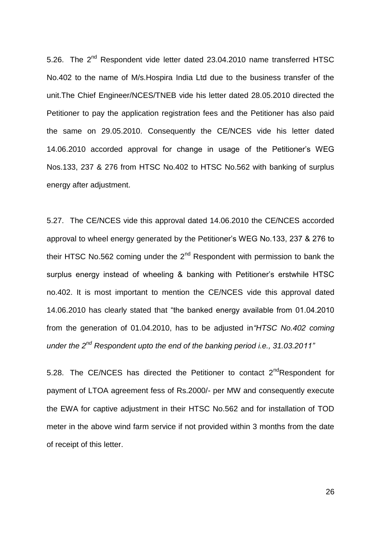5.26. The 2<sup>nd</sup> Respondent vide letter dated 23.04.2010 name transferred HTSC No.402 to the name of M/s.Hospira India Ltd due to the business transfer of the unit.The Chief Engineer/NCES/TNEB vide his letter dated 28.05.2010 directed the Petitioner to pay the application registration fees and the Petitioner has also paid the same on 29.05.2010. Consequently the CE/NCES vide his letter dated 14.06.2010 accorded approval for change in usage of the Petitioner"s WEG Nos.133, 237 & 276 from HTSC No.402 to HTSC No.562 with banking of surplus energy after adjustment.

5.27. The CE/NCES vide this approval dated 14.06.2010 the CE/NCES accorded approval to wheel energy generated by the Petitioner"s WEG No.133, 237 & 276 to their HTSC No.562 coming under the  $2<sup>nd</sup>$  Respondent with permission to bank the surplus energy instead of wheeling & banking with Petitioner's erstwhile HTSC no.402. It is most important to mention the CE/NCES vide this approval dated 14.06.2010 has clearly stated that "the banked energy available from 01.04.2010 from the generation of 01.04.2010, has to be adjusted in*"HTSC No.402 coming under the 2nd Respondent upto the end of the banking period i.e., 31.03.2011"*

5.28. The CE/NCES has directed the Petitioner to contact  $2^{nd}$ Respondent for payment of LTOA agreement fess of Rs.2000/- per MW and consequently execute the EWA for captive adjustment in their HTSC No.562 and for installation of TOD meter in the above wind farm service if not provided within 3 months from the date of receipt of this letter.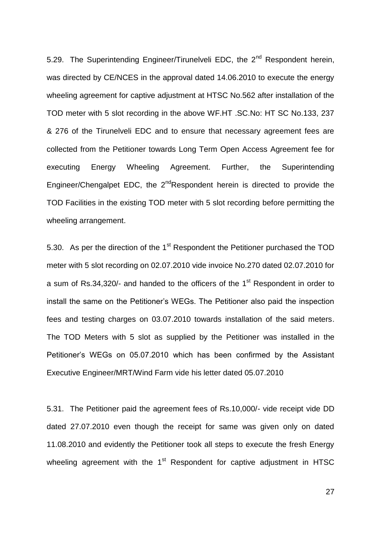5.29. The Superintending Engineer/Tirunelveli EDC, the 2<sup>nd</sup> Respondent herein, was directed by CE/NCES in the approval dated 14.06.2010 to execute the energy wheeling agreement for captive adjustment at HTSC No.562 after installation of the TOD meter with 5 slot recording in the above WF.HT .SC.No: HT SC No.133, 237 & 276 of the Tirunelveli EDC and to ensure that necessary agreement fees are collected from the Petitioner towards Long Term Open Access Agreement fee for executing Energy Wheeling Agreement. Further, the Superintending Engineer/Chengalpet EDC, the  $2^{nd}$ Respondent herein is directed to provide the TOD Facilities in the existing TOD meter with 5 slot recording before permitting the wheeling arrangement.

5.30. As per the direction of the 1<sup>st</sup> Respondent the Petitioner purchased the TOD meter with 5 slot recording on 02.07.2010 vide invoice No.270 dated 02.07.2010 for a sum of Rs.34,320/- and handed to the officers of the 1<sup>st</sup> Respondent in order to install the same on the Petitioner"s WEGs. The Petitioner also paid the inspection fees and testing charges on 03.07.2010 towards installation of the said meters. The TOD Meters with 5 slot as supplied by the Petitioner was installed in the Petitioner"s WEGs on 05.07.2010 which has been confirmed by the Assistant Executive Engineer/MRT/Wind Farm vide his letter dated 05.07.2010

5.31. The Petitioner paid the agreement fees of Rs.10,000/- vide receipt vide DD dated 27.07.2010 even though the receipt for same was given only on dated 11.08.2010 and evidently the Petitioner took all steps to execute the fresh Energy wheeling agreement with the 1<sup>st</sup> Respondent for captive adjustment in HTSC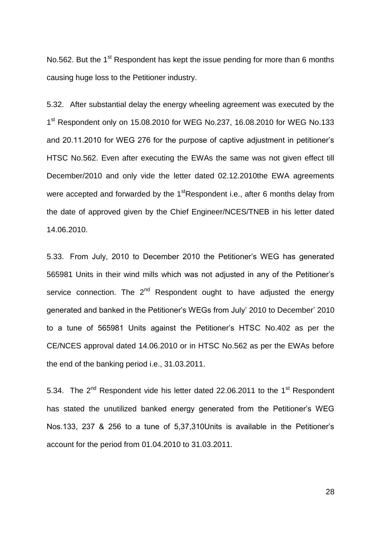No.562. But the 1<sup>st</sup> Respondent has kept the issue pending for more than 6 months causing huge loss to the Petitioner industry.

5.32. After substantial delay the energy wheeling agreement was executed by the 1<sup>st</sup> Respondent only on 15.08.2010 for WEG No.237, 16.08.2010 for WEG No.133 and 20.11.2010 for WEG 276 for the purpose of captive adjustment in petitioner"s HTSC No.562. Even after executing the EWAs the same was not given effect till December/2010 and only vide the letter dated 02.12.2010the EWA agreements were accepted and forwarded by the  $1<sup>st</sup>$ Respondent i.e., after 6 months delay from the date of approved given by the Chief Engineer/NCES/TNEB in his letter dated 14.06.2010.

5.33. From July, 2010 to December 2010 the Petitioner"s WEG has generated 565981 Units in their wind mills which was not adjusted in any of the Petitioner"s service connection. The  $2^{nd}$  Respondent ought to have adjusted the energy generated and banked in the Petitioner"s WEGs from July" 2010 to December" 2010 to a tune of 565981 Units against the Petitioner"s HTSC No.402 as per the CE/NCES approval dated 14.06.2010 or in HTSC No.562 as per the EWAs before the end of the banking period i.e., 31.03.2011.

5.34. The  $2^{nd}$  Respondent vide his letter dated 22.06.2011 to the 1<sup>st</sup> Respondent has stated the unutilized banked energy generated from the Petitioner's WEG Nos.133, 237 & 256 to a tune of 5,37,310Units is available in the Petitioner"s account for the period from 01.04.2010 to 31.03.2011.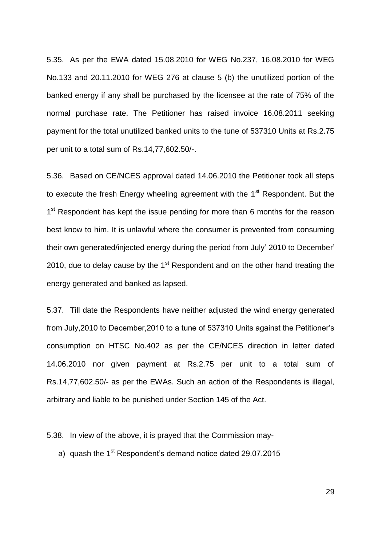5.35. As per the EWA dated 15.08.2010 for WEG No.237, 16.08.2010 for WEG No.133 and 20.11.2010 for WEG 276 at clause 5 (b) the unutilized portion of the banked energy if any shall be purchased by the licensee at the rate of 75% of the normal purchase rate. The Petitioner has raised invoice 16.08.2011 seeking payment for the total unutilized banked units to the tune of 537310 Units at Rs.2.75 per unit to a total sum of Rs.14,77,602.50/-.

5.36. Based on CE/NCES approval dated 14.06.2010 the Petitioner took all steps to execute the fresh Energy wheeling agreement with the 1<sup>st</sup> Respondent. But the 1<sup>st</sup> Respondent has kept the issue pending for more than 6 months for the reason best know to him. It is unlawful where the consumer is prevented from consuming their own generated/injected energy during the period from July" 2010 to December" 2010, due to delay cause by the  $1<sup>st</sup>$  Respondent and on the other hand treating the energy generated and banked as lapsed.

5.37. Till date the Respondents have neither adjusted the wind energy generated from July,2010 to December,2010 to a tune of 537310 Units against the Petitioner"s consumption on HTSC No.402 as per the CE/NCES direction in letter dated 14.06.2010 nor given payment at Rs.2.75 per unit to a total sum of Rs.14,77,602.50/- as per the EWAs. Such an action of the Respondents is illegal, arbitrary and liable to be punished under Section 145 of the Act.

5.38. In view of the above, it is prayed that the Commission may-

a) quash the  $1<sup>st</sup>$  Respondent's demand notice dated 29.07.2015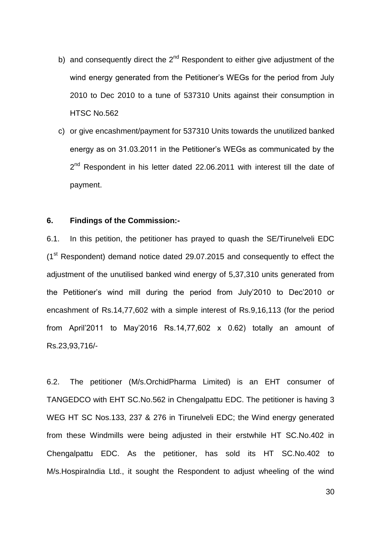- b) and consequently direct the  $2^{nd}$  Respondent to either give adjustment of the wind energy generated from the Petitioner's WEGs for the period from July 2010 to Dec 2010 to a tune of 537310 Units against their consumption in HTSC No.562
- c) or give encashment/payment for 537310 Units towards the unutilized banked energy as on 31.03.2011 in the Petitioner"s WEGs as communicated by the 2<sup>nd</sup> Respondent in his letter dated 22.06.2011 with interest till the date of payment.

#### **6. Findings of the Commission:-**

6.1. In this petition, the petitioner has prayed to quash the SE/Tirunelveli EDC (1st Respondent) demand notice dated 29.07.2015 and consequently to effect the adjustment of the unutilised banked wind energy of 5,37,310 units generated from the Petitioner"s wind mill during the period from July"2010 to Dec"2010 or encashment of Rs.14,77,602 with a simple interest of Rs.9,16,113 (for the period from April'2011 to May'2016 Rs.14,77,602  $\times$  0.62) totally an amount of Rs.23,93,716/-

6.2. The petitioner (M/s.OrchidPharma Limited) is an EHT consumer of TANGEDCO with EHT SC.No.562 in Chengalpattu EDC. The petitioner is having 3 WEG HT SC Nos.133, 237 & 276 in Tirunelveli EDC; the Wind energy generated from these Windmills were being adjusted in their erstwhile HT SC.No.402 in Chengalpattu EDC. As the petitioner, has sold its HT SC.No.402 to M/s.HospiraIndia Ltd., it sought the Respondent to adjust wheeling of the wind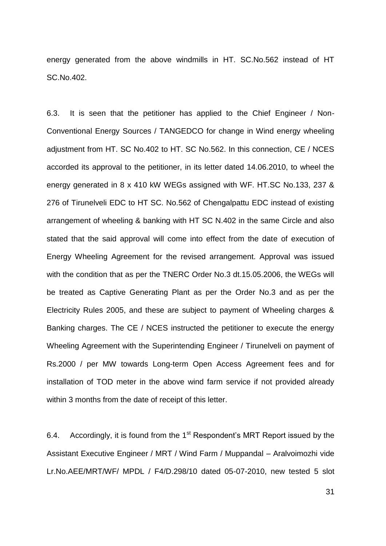energy generated from the above windmills in HT. SC.No.562 instead of HT SC.No.402.

6.3. It is seen that the petitioner has applied to the Chief Engineer / Non-Conventional Energy Sources / TANGEDCO for change in Wind energy wheeling adjustment from HT. SC No.402 to HT. SC No.562. In this connection, CE / NCES accorded its approval to the petitioner, in its letter dated 14.06.2010, to wheel the energy generated in 8 x 410 kW WEGs assigned with WF. HT.SC No.133, 237 & 276 of Tirunelveli EDC to HT SC. No.562 of Chengalpattu EDC instead of existing arrangement of wheeling & banking with HT SC N.402 in the same Circle and also stated that the said approval will come into effect from the date of execution of Energy Wheeling Agreement for the revised arrangement. Approval was issued with the condition that as per the TNERC Order No.3 dt.15.05.2006, the WEGs will be treated as Captive Generating Plant as per the Order No.3 and as per the Electricity Rules 2005, and these are subject to payment of Wheeling charges & Banking charges. The CE / NCES instructed the petitioner to execute the energy Wheeling Agreement with the Superintending Engineer / Tirunelveli on payment of Rs.2000 / per MW towards Long-term Open Access Agreement fees and for installation of TOD meter in the above wind farm service if not provided already within 3 months from the date of receipt of this letter.

6.4. Accordingly, it is found from the  $1<sup>st</sup>$  Respondent's MRT Report issued by the Assistant Executive Engineer / MRT / Wind Farm / Muppandal – Aralvoimozhi vide Lr.No.AEE/MRT/WF/ MPDL / F4/D.298/10 dated 05-07-2010, new tested 5 slot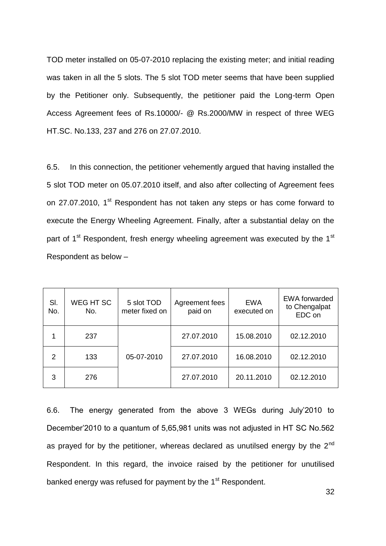TOD meter installed on 05-07-2010 replacing the existing meter; and initial reading was taken in all the 5 slots. The 5 slot TOD meter seems that have been supplied by the Petitioner only. Subsequently, the petitioner paid the Long-term Open Access Agreement fees of Rs.10000/- @ Rs.2000/MW in respect of three WEG HT.SC. No.133, 237 and 276 on 27.07.2010.

6.5. In this connection, the petitioner vehemently argued that having installed the 5 slot TOD meter on 05.07.2010 itself, and also after collecting of Agreement fees on 27.07.2010, 1<sup>st</sup> Respondent has not taken any steps or has come forward to execute the Energy Wheeling Agreement. Finally, after a substantial delay on the part of  $1^{st}$  Respondent, fresh energy wheeling agreement was executed by the  $1^{st}$ Respondent as below –

| SI.<br>No. | WEG HT SC<br>No. | 5 slot TOD<br>meter fixed on | Agreement fees<br>paid on | <b>EWA</b><br>executed on | <b>EWA</b> forwarded<br>to Chengalpat<br>EDC on |
|------------|------------------|------------------------------|---------------------------|---------------------------|-------------------------------------------------|
|            | 237              |                              | 27.07.2010                | 15.08.2010                | 02.12.2010                                      |
| 2          | 133              | 05-07-2010                   | 27.07.2010                | 16.08.2010                | 02.12.2010                                      |
| 3          | 276              |                              | 27.07.2010                | 20.11.2010                | 02.12.2010                                      |

6.6. The energy generated from the above 3 WEGs during July"2010 to December"2010 to a quantum of 5,65,981 units was not adjusted in HT SC No.562 as prayed for by the petitioner, whereas declared as unutilsed energy by the  $2^{nd}$ Respondent. In this regard, the invoice raised by the petitioner for unutilised banked energy was refused for payment by the 1<sup>st</sup> Respondent.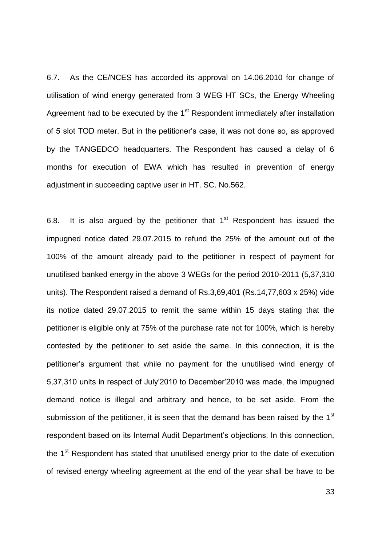6.7. As the CE/NCES has accorded its approval on 14.06.2010 for change of utilisation of wind energy generated from 3 WEG HT SCs, the Energy Wheeling Agreement had to be executed by the 1<sup>st</sup> Respondent immediately after installation of 5 slot TOD meter. But in the petitioner"s case, it was not done so, as approved by the TANGEDCO headquarters. The Respondent has caused a delay of 6 months for execution of EWA which has resulted in prevention of energy adjustment in succeeding captive user in HT. SC. No.562.

6.8. It is also argued by the petitioner that  $1<sup>st</sup>$  Respondent has issued the impugned notice dated 29.07.2015 to refund the 25% of the amount out of the 100% of the amount already paid to the petitioner in respect of payment for unutilised banked energy in the above 3 WEGs for the period 2010-2011 (5,37,310 units). The Respondent raised a demand of Rs.3,69,401 (Rs.14,77,603 x 25%) vide its notice dated 29.07.2015 to remit the same within 15 days stating that the petitioner is eligible only at 75% of the purchase rate not for 100%, which is hereby contested by the petitioner to set aside the same. In this connection, it is the petitioner"s argument that while no payment for the unutilised wind energy of 5,37,310 units in respect of July"2010 to December"2010 was made, the impugned demand notice is illegal and arbitrary and hence, to be set aside. From the submission of the petitioner, it is seen that the demand has been raised by the  $1<sup>st</sup>$ respondent based on its Internal Audit Department's objections. In this connection, the 1<sup>st</sup> Respondent has stated that unutilised energy prior to the date of execution of revised energy wheeling agreement at the end of the year shall be have to be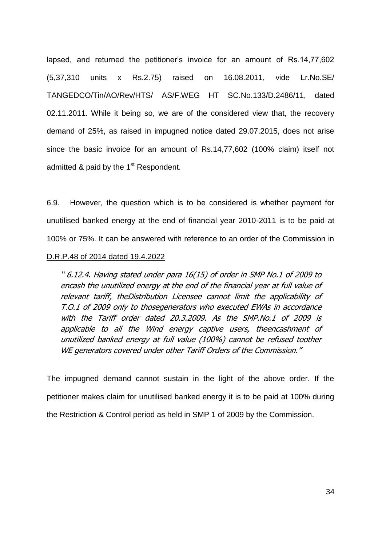lapsed, and returned the petitioner's invoice for an amount of Rs.14,77,602 (5,37,310 units x Rs.2.75) raised on 16.08.2011, vide Lr.No.SE/ TANGEDCO/Tin/AO/Rev/HTS/ AS/F.WEG HT SC.No.133/D.2486/11, dated 02.11.2011. While it being so, we are of the considered view that, the recovery demand of 25%, as raised in impugned notice dated 29.07.2015, does not arise since the basic invoice for an amount of Rs.14,77,602 (100% claim) itself not admitted & paid by the 1<sup>st</sup> Respondent.

6.9. However, the question which is to be considered is whether payment for unutilised banked energy at the end of financial year 2010-2011 is to be paid at 100% or 75%. It can be answered with reference to an order of the Commission in

#### D.R.P.48 of 2014 dated 19.4.2022

" 6.12.4. Having stated under para 16(15) of order in SMP No.1 of 2009 to encash the unutilized energy at the end of the financial year at full value of relevant tariff, theDistribution Licensee cannot limit the applicability of T.O.1 of 2009 only to thosegenerators who executed EWAs in accordance with the Tariff order dated 20.3.2009. As the SMP.No.1 of 2009 is applicable to all the Wind energy captive users, theencashment of unutilized banked energy at full value (100%) cannot be refused toother WE generators covered under other Tariff Orders of the Commission."

The impugned demand cannot sustain in the light of the above order. If the petitioner makes claim for unutilised banked energy it is to be paid at 100% during the Restriction & Control period as held in SMP 1 of 2009 by the Commission.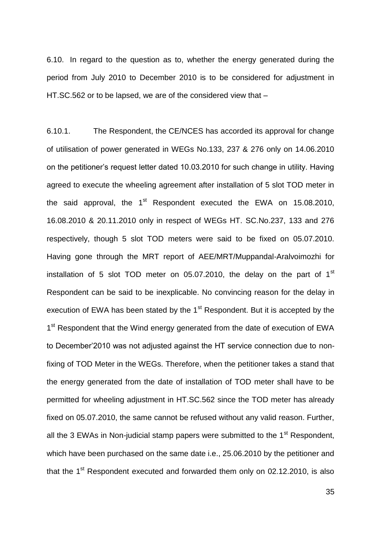6.10. In regard to the question as to, whether the energy generated during the period from July 2010 to December 2010 is to be considered for adjustment in HT.SC.562 or to be lapsed, we are of the considered view that –

6.10.1. The Respondent, the CE/NCES has accorded its approval for change of utilisation of power generated in WEGs No.133, 237 & 276 only on 14.06.2010 on the petitioner"s request letter dated 10.03.2010 for such change in utility. Having agreed to execute the wheeling agreement after installation of 5 slot TOD meter in the said approval, the  $1<sup>st</sup>$  Respondent executed the EWA on 15.08.2010, 16.08.2010 & 20.11.2010 only in respect of WEGs HT. SC.No.237, 133 and 276 respectively, though 5 slot TOD meters were said to be fixed on 05.07.2010. Having gone through the MRT report of AEE/MRT/Muppandal-Aralvoimozhi for installation of 5 slot TOD meter on 05.07.2010, the delay on the part of  $1<sup>st</sup>$ Respondent can be said to be inexplicable. No convincing reason for the delay in execution of EWA has been stated by the  $1<sup>st</sup>$  Respondent. But it is accepted by the 1<sup>st</sup> Respondent that the Wind energy generated from the date of execution of EWA to December"2010 was not adjusted against the HT service connection due to nonfixing of TOD Meter in the WEGs. Therefore, when the petitioner takes a stand that the energy generated from the date of installation of TOD meter shall have to be permitted for wheeling adjustment in HT.SC.562 since the TOD meter has already fixed on 05.07.2010, the same cannot be refused without any valid reason. Further, all the 3 EWAs in Non-judicial stamp papers were submitted to the  $1<sup>st</sup>$  Respondent, which have been purchased on the same date i.e., 25.06.2010 by the petitioner and that the  $1<sup>st</sup>$  Respondent executed and forwarded them only on 02.12.2010, is also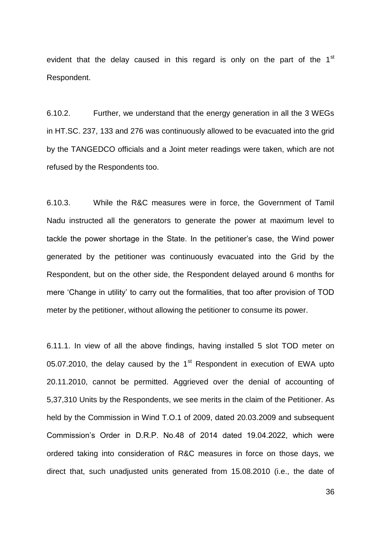evident that the delay caused in this regard is only on the part of the  $1<sup>st</sup>$ Respondent.

6.10.2. Further, we understand that the energy generation in all the 3 WEGs in HT.SC. 237, 133 and 276 was continuously allowed to be evacuated into the grid by the TANGEDCO officials and a Joint meter readings were taken, which are not refused by the Respondents too.

6.10.3. While the R&C measures were in force, the Government of Tamil Nadu instructed all the generators to generate the power at maximum level to tackle the power shortage in the State. In the petitioner"s case, the Wind power generated by the petitioner was continuously evacuated into the Grid by the Respondent, but on the other side, the Respondent delayed around 6 months for mere "Change in utility" to carry out the formalities, that too after provision of TOD meter by the petitioner, without allowing the petitioner to consume its power.

6.11.1. In view of all the above findings, having installed 5 slot TOD meter on 05.07.2010, the delay caused by the  $1<sup>st</sup>$  Respondent in execution of EWA upto 20.11.2010, cannot be permitted. Aggrieved over the denial of accounting of 5,37,310 Units by the Respondents, we see merits in the claim of the Petitioner. As held by the Commission in Wind T.O.1 of 2009, dated 20.03.2009 and subsequent Commission"s Order in D.R.P. No.48 of 2014 dated 19.04.2022, which were ordered taking into consideration of R&C measures in force on those days, we direct that, such unadjusted units generated from 15.08.2010 (i.e., the date of